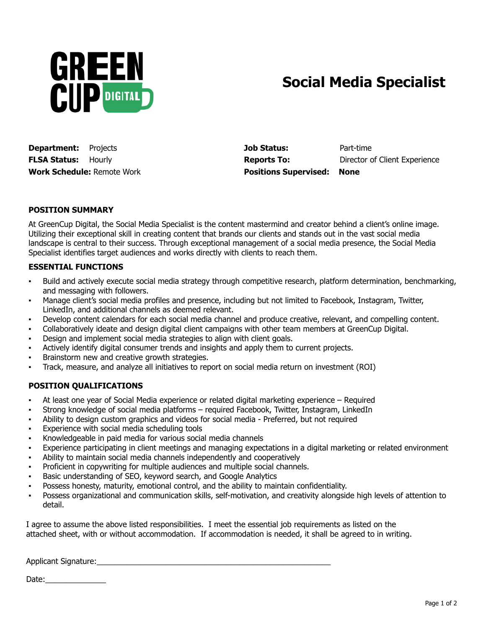

## **Social Media Specialist**

**Department:** Projects **Job Status:** Part-time **FLSA Status:** Hourly **Reports To:** Director of Client Experience **Work Schedule:** Remote Work **Positions Supervised: None**

## **POSITION SUMMARY**

At GreenCup Digital, the Social Media Specialist is the content mastermind and creator behind a client's online image. Utilizing their exceptional skill in creating content that brands our clients and stands out in the vast social media landscape is central to their success. Through exceptional management of a social media presence, the Social Media Specialist identifies target audiences and works directly with clients to reach them.

## **ESSENTIAL FUNCTIONS**

- Build and actively execute social media strategy through competitive research, platform determination, benchmarking, and messaging with followers.
- Manage client's social media profiles and presence, including but not limited to Facebook, Instagram, Twitter, LinkedIn, and additional channels as deemed relevant.
- Develop content calendars for each social media channel and produce creative, relevant, and compelling content.
- Collaboratively ideate and design digital client campaigns with other team members at GreenCup Digital.
- Design and implement social media strategies to align with client goals.
- Actively identify digital consumer trends and insights and apply them to current projects.
- Brainstorm new and creative growth strategies.
- Track, measure, and analyze all initiatives to report on social media return on investment (ROI)

## **POSITION QUALIFICATIONS**

- **▪** At least one year of Social Media experience or related digital marketing experience Required
- **▪** Strong knowledge of social media platforms required Facebook, Twitter, Instagram, LinkedIn
- Ability to design custom graphics and videos for social media Preferred, but not required
- Experience with social media scheduling tools
- **▪** Knowledgeable in paid media for various social media channels
- Experience participating in client meetings and managing expectations in a digital marketing or related environment
- **▪** Ability to maintain social media channels independently and cooperatively
- **▪** Proficient in copywriting for multiple audiences and multiple social channels.
- Basic understanding of SEO, keyword search, and Google Analytics
- Possess honesty, maturity, emotional control, and the ability to maintain confidentiality.
- **▪** Possess organizational and communication skills, self-motivation, and creativity alongside high levels of attention to detail.

I agree to assume the above listed responsibilities. I meet the essential job requirements as listed on the attached sheet, with or without accommodation. If accommodation is needed, it shall be agreed to in writing.

Applicant Signature: <u>and</u> the state of the state of the state of the state of the state of the state of the state of the state of the state of the state of the state of the state of the state of the state of the state of

Date: